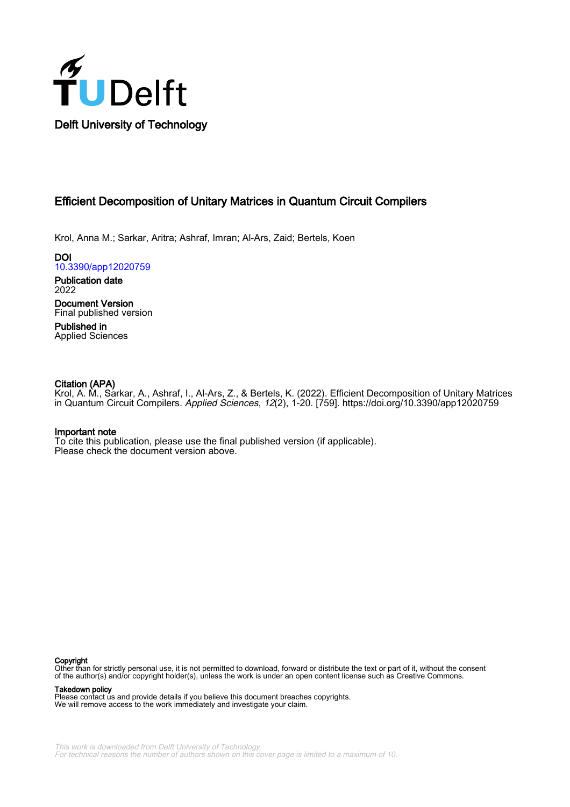

## Efficient Decomposition of Unitary Matrices in Quantum Circuit Compilers

Krol, Anna M.; Sarkar, Aritra; Ashraf, Imran; Al-Ars, Zaid; Bertels, Koen

DOI [10.3390/app12020759](https://doi.org/10.3390/app12020759)

Publication date 2022

Document Version Final published version

Published in Applied Sciences

## Citation (APA)

Krol, A. M., Sarkar, A., Ashraf, I., Al-Ars, Z., & Bertels, K. (2022). Efficient Decomposition of Unitary Matrices in Quantum Circuit Compilers. Applied Sciences, 12(2), 1-20. [759].<https://doi.org/10.3390/app12020759>

## Important note

To cite this publication, please use the final published version (if applicable). Please check the document version above.

#### Copyright

Other than for strictly personal use, it is not permitted to download, forward or distribute the text or part of it, without the consent of the author(s) and/or copyright holder(s), unless the work is under an open content license such as Creative Commons.

Takedown policy

Please contact us and provide details if you believe this document breaches copyrights. We will remove access to the work immediately and investigate your claim.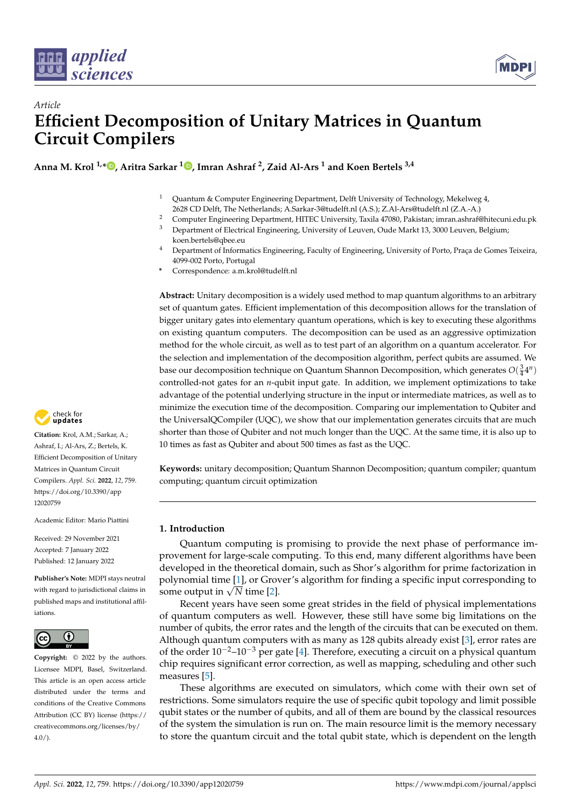



# *Article* **Efficient Decomposition of Unitary Matrices in Quantum Circuit Compilers**

**Anna M. Krol 1,[\\*](https://orcid.org/0000-0003-0066-4299) , Aritra Sarkar <sup>1</sup> [,](https://orcid.org/0000-0002-3026-6892) Imran Ashraf <sup>2</sup> , Zaid Al-Ars <sup>1</sup> and Koen Bertels 3,4**

- <sup>1</sup> Quantum & Computer Engineering Department, Delft University of Technology, Mekelweg 4,
- 2628 CD Delft, The Netherlands; A.Sarkar-3@tudelft.nl (A.S.); Z.Al-Ars@tudelft.nl (Z.A.-A.)
- <sup>2</sup> Computer Engineering Department, HITEC University, Taxila 47080, Pakistan; imran.ashraf@hitecuni.edu.pk<br><sup>3</sup> Department of Electrical Engineering, University of Lawye, Oude Markt 12, 2000 Lawye, Pakisium.
- <sup>3</sup> Department of Electrical Engineering, University of Leuven, Oude Markt 13, 3000 Leuven, Belgium; koen.bertels@qbee.eu
- <sup>4</sup> Department of Informatics Engineering, Faculty of Engineering, University of Porto, Praça de Gomes Teixeira, 4099-002 Porto, Portugal
- **\*** Correspondence: a.m.krol@tudelft.nl

**Abstract:** Unitary decomposition is a widely used method to map quantum algorithms to an arbitrary set of quantum gates. Efficient implementation of this decomposition allows for the translation of bigger unitary gates into elementary quantum operations, which is key to executing these algorithms on existing quantum computers. The decomposition can be used as an aggressive optimization method for the whole circuit, as well as to test part of an algorithm on a quantum accelerator. For the selection and implementation of the decomposition algorithm, perfect qubits are assumed. We base our decomposition technique on Quantum Shannon Decomposition, which generates  $O(\frac{3}{4}4^n)$ controlled-not gates for an *n*-qubit input gate. In addition, we implement optimizations to take advantage of the potential underlying structure in the input or intermediate matrices, as well as to minimize the execution time of the decomposition. Comparing our implementation to Qubiter and the UniversalQCompiler (UQC), we show that our implementation generates circuits that are much shorter than those of Qubiter and not much longer than the UQC. At the same time, it is also up to 10 times as fast as Qubiter and about 500 times as fast as the UQC.

**Keywords:** unitary decomposition; Quantum Shannon Decomposition; quantum compiler; quantum computing; quantum circuit optimization

## **1. Introduction**

Quantum computing is promising to provide the next phase of performance improvement for large-scale computing. To this end, many different algorithms have been developed in the theoretical domain, such as Shor's algorithm for prime factorization in polynomial time [\[1\]](#page-19-0), or Grover's algorithm for finding a specific input corresponding to polynomial time [1], or Grov<br>some output in √N time [\[2\]](#page-19-1).

Recent years have seen some great strides in the field of physical implementations of quantum computers as well. However, these still have some big limitations on the number of qubits, the error rates and the length of the circuits that can be executed on them. Although quantum computers with as many as 128 qubits already exist [\[3\]](#page-19-2), error rates are of the order  $10^{-2}$ – $10^{-3}$  per gate [\[4\]](#page-19-3). Therefore, executing a circuit on a physical quantum chip requires significant error correction, as well as mapping, scheduling and other such measures [\[5\]](#page-19-4).

These algorithms are executed on simulators, which come with their own set of restrictions. Some simulators require the use of specific qubit topology and limit possible qubit states or the number of qubits, and all of them are bound by the classical resources of the system the simulation is run on. The main resource limit is the memory necessary to store the quantum circuit and the total qubit state, which is dependent on the length



**Citation:** Krol, A.M.; Sarkar, A.; Ashraf, I.; Al-Ars, Z.; Bertels, K. Efficient Decomposition of Unitary Matrices in Quantum Circuit Compilers. *Appl. Sci.* **2022**, *12*, 759. [https://doi.org/10.3390/app](https://doi.org/10.3390/app12020759) [12020759](https://doi.org/10.3390/app12020759)

Academic Editor: Mario Piattini

Received: 29 November 2021 Accepted: 7 January 2022 Published: 12 January 2022

**Publisher's Note:** MDPI stays neutral with regard to jurisdictional claims in published maps and institutional affiliations.



**Copyright:** © 2022 by the authors. Licensee MDPI, Basel, Switzerland. This article is an open access article distributed under the terms and conditions of the Creative Commons Attribution (CC BY) license [\(https://](https://creativecommons.org/licenses/by/4.0/) [creativecommons.org/licenses/by/](https://creativecommons.org/licenses/by/4.0/)  $4.0/$ ).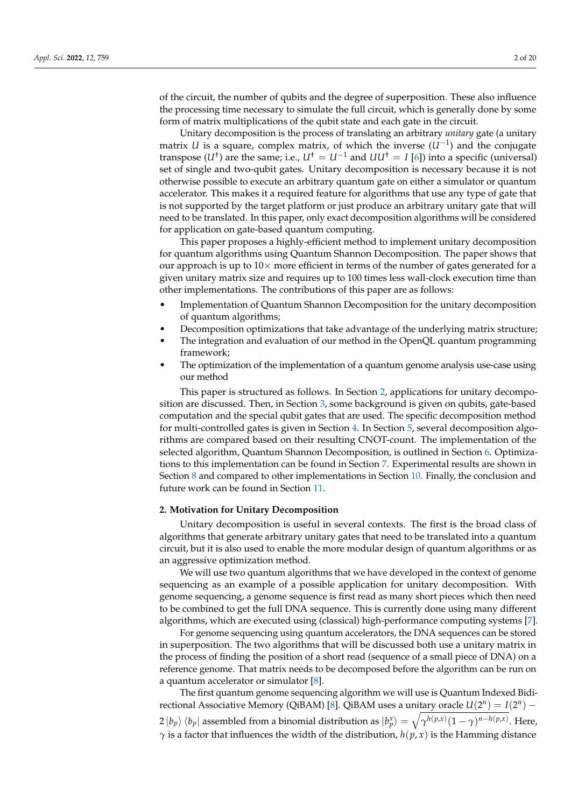of the circuit, the number of qubits and the degree of superposition. These also influence the processing time necessary to simulate the full circuit, which is generally done by some form of matrix multiplications of the qubit state and each gate in the circuit.

Unitary decomposition is the process of translating an arbitrary *unitary* gate (a unitary matrix *U* is a square, complex matrix, of which the inverse (*U*−<sup>1</sup> ) and the conjugate transpose  $(U^{\dagger})$  are the same; i.e.,  $U^{\dagger} = U^{-1}$  and  $UU^{\dagger} = I$  [\[6\]](#page-19-5)) into a specific (universal) set of single and two-qubit gates. Unitary decomposition is necessary because it is not otherwise possible to execute an arbitrary quantum gate on either a simulator or quantum accelerator. This makes it a required feature for algorithms that use any type of gate that is not supported by the target platform or just produce an arbitrary unitary gate that will need to be translated. In this paper, only exact decomposition algorithms will be considered for application on gate-based quantum computing.

This paper proposes a highly-efficient method to implement unitary decomposition for quantum algorithms using Quantum Shannon Decomposition. The paper shows that our approach is up to  $10\times$  more efficient in terms of the number of gates generated for a given unitary matrix size and requires up to 100 times less wall-clock execution time than other implementations. The contributions of this paper are as follows:

- Implementation of Quantum Shannon Decomposition for the unitary decomposition of quantum algorithms;
- Decomposition optimizations that take advantage of the underlying matrix structure;
- The integration and evaluation of our method in the OpenQL quantum programming framework;
- The optimization of the implementation of a quantum genome analysis use-case using our method

This paper is structured as follows. In Section [2,](#page-2-0) applications for unitary decomposition are discussed. Then, in Section [3,](#page-3-0) some background is given on qubits, gate-based computation and the special qubit gates that are used. The specific decomposition method for multi-controlled gates is given in Section [4.](#page-5-0) In Section [5,](#page-6-0) several decomposition algorithms are compared based on their resulting CNOT-count. The implementation of the selected algorithm, Quantum Shannon Decomposition, is outlined in Section [6.](#page-11-0) Optimizations to this implementation can be found in Section [7.](#page-14-0) Experimental results are shown in Section [8](#page-14-1) and compared to other implementations in Section [10.](#page-16-0) Finally, the conclusion and future work can be found in Section [11.](#page-18-0)

#### <span id="page-2-0"></span>**2. Motivation for Unitary Decomposition**

Unitary decomposition is useful in several contexts. The first is the broad class of algorithms that generate arbitrary unitary gates that need to be translated into a quantum circuit, but it is also used to enable the more modular design of quantum algorithms or as an aggressive optimization method.

We will use two quantum algorithms that we have developed in the context of genome sequencing as an example of a possible application for unitary decomposition. With genome sequencing, a genome sequence is first read as many short pieces which then need to be combined to get the full DNA sequence. This is currently done using many different algorithms, which are executed using (classical) high-performance computing systems [\[7\]](#page-19-6).

For genome sequencing using quantum accelerators, the DNA sequences can be stored in superposition. The two algorithms that will be discussed both use a unitary matrix in the process of finding the position of a short read (sequence of a small piece of DNA) on a reference genome. That matrix needs to be decomposed before the algorithm can be run on a quantum accelerator or simulator [\[8\]](#page-19-7).

The first quantum genome sequencing algorithm we will use is Quantum Indexed Bidi-rectional Associative Memory (QiBAM) [\[8\]](#page-19-7). QiBAM uses a unitary oracle  $U(2^n) = I(2^n)$  –  $2 |b_p\rangle \langle b_p |$  assembled from a binomial distribution as  $|b_p^x\rangle = \sqrt{\gamma^{h(p,x)}(1-\gamma)^{n-h(p,x)}}$ . Here, *γ* is a factor that influences the width of the distribution,  $h(p, x)$  is the Hamming distance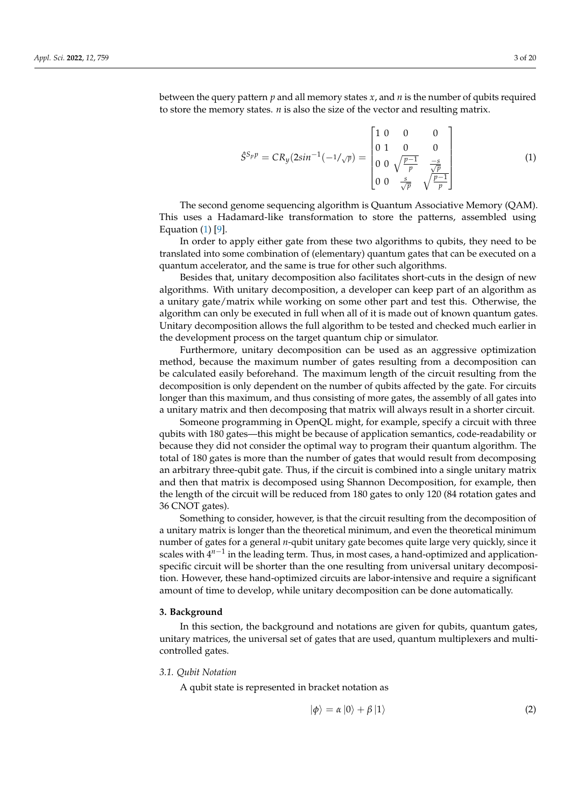between the query pattern *p* and all memory states *x*, and *n* is the number of qubits required to store the memory states. *n* is also the size of the vector and resulting matrix.

<span id="page-3-1"></span>
$$
\hat{S}^{S_p p} = C R_y (2\sin^{-1}(-1/\sqrt{p}) = \begin{bmatrix} 1 & 0 & 0 & 0 \\ 0 & 1 & 0 & 0 \\ 0 & 0 & \sqrt{\frac{p-1}{p}} & \frac{-s}{\sqrt{p}} \\ 0 & 0 & \frac{s}{\sqrt{p}} & \sqrt{\frac{p-1}{p}} \end{bmatrix}
$$
(1)

The second genome sequencing algorithm is Quantum Associative Memory (QAM). This uses a Hadamard-like transformation to store the patterns, assembled using Equation [\(1\)](#page-3-1) [\[9\]](#page-19-8).

In order to apply either gate from these two algorithms to qubits, they need to be translated into some combination of (elementary) quantum gates that can be executed on a quantum accelerator, and the same is true for other such algorithms.

Besides that, unitary decomposition also facilitates short-cuts in the design of new algorithms. With unitary decomposition, a developer can keep part of an algorithm as a unitary gate/matrix while working on some other part and test this. Otherwise, the algorithm can only be executed in full when all of it is made out of known quantum gates. Unitary decomposition allows the full algorithm to be tested and checked much earlier in the development process on the target quantum chip or simulator.

Furthermore, unitary decomposition can be used as an aggressive optimization method, because the maximum number of gates resulting from a decomposition can be calculated easily beforehand. The maximum length of the circuit resulting from the decomposition is only dependent on the number of qubits affected by the gate. For circuits longer than this maximum, and thus consisting of more gates, the assembly of all gates into a unitary matrix and then decomposing that matrix will always result in a shorter circuit.

Someone programming in OpenQL might, for example, specify a circuit with three qubits with 180 gates—this might be because of application semantics, code-readability or because they did not consider the optimal way to program their quantum algorithm. The total of 180 gates is more than the number of gates that would result from decomposing an arbitrary three-qubit gate. Thus, if the circuit is combined into a single unitary matrix and then that matrix is decomposed using Shannon Decomposition, for example, then the length of the circuit will be reduced from 180 gates to only 120 (84 rotation gates and 36 CNOT gates).

Something to consider, however, is that the circuit resulting from the decomposition of a unitary matrix is longer than the theoretical minimum, and even the theoretical minimum number of gates for a general *n*-qubit unitary gate becomes quite large very quickly, since it scales with 4<sup>n-1</sup> in the leading term. Thus, in most cases, a hand-optimized and applicationspecific circuit will be shorter than the one resulting from universal unitary decomposition. However, these hand-optimized circuits are labor-intensive and require a significant amount of time to develop, while unitary decomposition can be done automatically.

#### <span id="page-3-0"></span>**3. Background**

In this section, the background and notations are given for qubits, quantum gates, unitary matrices, the universal set of gates that are used, quantum multiplexers and multicontrolled gates.

#### *3.1. Qubit Notation*

A qubit state is represented in bracket notation as

$$
|\phi\rangle = \alpha |0\rangle + \beta |1\rangle \tag{2}
$$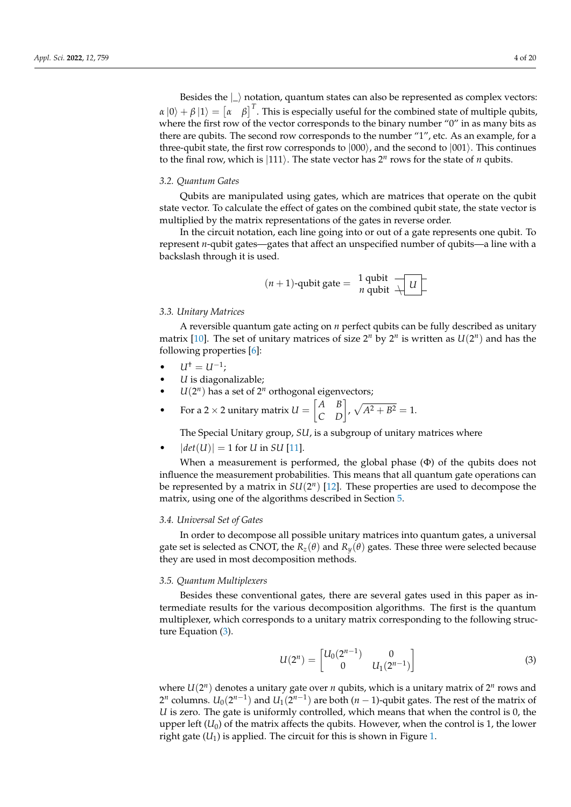Besides the  $\Box$  notation, quantum states can also be represented as complex vectors:  $\alpha |0\rangle + \beta |1\rangle = \begin{bmatrix} \alpha & \beta \end{bmatrix}^T$ . This is especially useful for the combined state of multiple qubits, where the first row of the vector corresponds to the binary number "0" in as many bits as there are qubits. The second row corresponds to the number "1", etc. As an example, for a three-qubit state, the first row corresponds to  $|000\rangle$ , and the second to  $|001\rangle$ . This continues to the final row, which is  $|111\rangle$ . The state vector has  $2^n$  rows for the state of *n* qubits.

#### *3.2. Quantum Gates*

Qubits are manipulated using gates, which are matrices that operate on the qubit state vector. To calculate the effect of gates on the combined qubit state, the state vector is multiplied by the matrix representations of the gates in reverse order.

In the circuit notation, each line going into or out of a gate represents one qubit. To represent *n*-qubit gates—gates that affect an unspecified number of qubits—a line with a backslash through it is used.

$$
(n+1)
$$
-qubit gate =  $\frac{1 \text{ qubit}}{n \text{ qubit}}$ 

#### *3.3. Unitary Matrices*

A reversible quantum gate acting on *n* perfect qubits can be fully described as unitary matrix [\[10\]](#page-19-9). The set of unitary matrices of size  $2^n$  by  $2^n$  is written as  $U(2^n)$  and has the following properties [\[6\]](#page-19-5):

- $U^{\dagger} = U^{-1}$ ;
- *U* is diagonalizable;
- $\bullet$  *U*(2<sup>*n*</sup>) has a set of 2<sup>*n*</sup> orthogonal eigenvectors;

• For a 2 × 2 unitary matrix 
$$
U = \begin{bmatrix} A & B \\ C & D \end{bmatrix}
$$
,  $\sqrt{A^2 + B^2} = 1$ .

The Special Unitary group, *SU*, is a subgroup of unitary matrices where

 $|det(U)| = 1$  for *U* in *SU* [\[11\]](#page-19-10).

When a measurement is performed, the global phase (Φ) of the qubits does not influence the measurement probabilities. This means that all quantum gate operations can be represented by a matrix in  $SU(2^n)$  [\[12\]](#page-19-11). These properties are used to decompose the matrix, using one of the algorithms described in Section [5.](#page-6-0)

#### *3.4. Universal Set of Gates*

In order to decompose all possible unitary matrices into quantum gates, a universal gate set is selected as CNOT, the  $R_z(\theta)$  and  $R_y(\theta)$  gates. These three were selected because they are used in most decomposition methods.

#### <span id="page-4-1"></span>*3.5. Quantum Multiplexers*

Besides these conventional gates, there are several gates used in this paper as intermediate results for the various decomposition algorithms. The first is the quantum multiplexer, which corresponds to a unitary matrix corresponding to the following structure Equation [\(3\)](#page-4-0).

<span id="page-4-0"></span>
$$
U(2^n) = \begin{bmatrix} U_0(2^{n-1}) & 0 \\ 0 & U_1(2^{n-1}) \end{bmatrix}
$$
 (3)

where  $U(2^n)$  denotes a unitary gate over *n* qubits, which is a unitary matrix of  $2^n$  rows and 2<sup>*n*</sup> columns.  $U_0(2^{n-1})$  and  $U_1(2^{n-1})$  are both  $(n-1)$ -qubit gates. The rest of the matrix of *U* is zero. The gate is uniformly controlled, which means that when the control is 0, the upper left  $(U_0)$  of the matrix affects the qubits. However, when the control is 1, the lower right gate  $(U_1)$  is applied. The circuit for this is shown in Figure [1.](#page-5-1)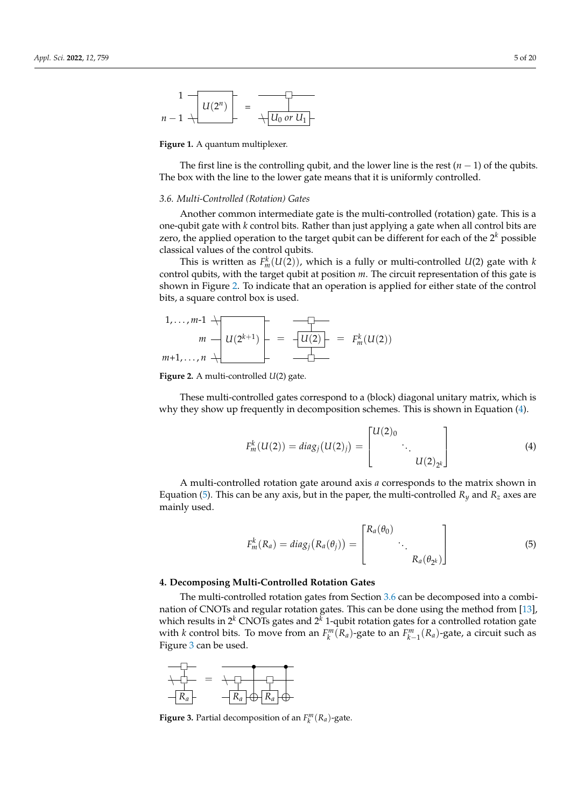<span id="page-5-1"></span>
$$
\begin{array}{c|c}1 & \hline & & \\ \hline & & & \\ n-1 & \hline & & \hline \end{array}
$$

**Figure 1.** A quantum multiplexer.

The first line is the controlling qubit, and the lower line is the rest  $(n - 1)$  of the qubits. The box with the line to the lower gate means that it is uniformly controlled.

#### <span id="page-5-5"></span>*3.6. Multi-Controlled (Rotation) Gates*

Another common intermediate gate is the multi-controlled (rotation) gate. This is a one-qubit gate with *k* control bits. Rather than just applying a gate when all control bits are zero, the applied operation to the target qubit can be different for each of the 2 *<sup>k</sup>* possible classical values of the control qubits.

This is written as  $F_m^k(U(2))$ , which is a fully or multi-controlled  $U(2)$  gate with  $k$ control qubits, with the target qubit at position *m*. The circuit representation of this gate is shown in Figure [2.](#page-5-2) To indicate that an operation is applied for either state of the control bits, a square control box is used.

<span id="page-5-2"></span>
$$
1, \ldots, m-1 \uparrow \qquad \qquad \downarrow
$$
\n
$$
m \rightarrow U(2^{k+1}) \qquad = \qquad \frac{\uparrow \qquad \qquad \downarrow}{\downarrow U(2)} = F_m^k(U(2))
$$
\n
$$
m+1, \ldots, n \uparrow \qquad \qquad \frac{\downarrow}{\downarrow}
$$

**Figure 2.** A multi-controlled *U*(2) gate.

These multi-controlled gates correspond to a (block) diagonal unitary matrix, which is why they show up frequently in decomposition schemes. This is shown in Equation [\(4\)](#page-5-3).

<span id="page-5-3"></span>
$$
F_m^k(U(2)) = diag_j(U(2)_j) = \begin{bmatrix} U(2)_0 & & \\ & \ddots & \\ & & U(2)_{2^k} \end{bmatrix}
$$
 (4)

A multi-controlled rotation gate around axis *a* corresponds to the matrix shown in Equation [\(5\)](#page-5-4). This can be any axis, but in the paper, the multi-controlled  $R_y$  and  $R_z$  axes are mainly used.

<span id="page-5-4"></span>
$$
F_m^k(R_a) = diag_j(R_a(\theta_j)) = \begin{bmatrix} R_a(\theta_0) & & \\ & \ddots & \\ & & R_a(\theta_{2^k}) \end{bmatrix} \tag{5}
$$

#### <span id="page-5-0"></span>**4. Decomposing Multi-Controlled Rotation Gates**

The multi-controlled rotation gates from Section [3.6](#page-5-5) can be decomposed into a combination of CNOTs and regular rotation gates. This can be done using the method from [\[13\]](#page-19-12), which results in  $2^k$  CNOTs gates and  $2^k$  1-qubit rotation gates for a controlled rotation gate with *k* control bits. To move from an  $F_k^m(R_a)$ -gate to an  $F_{k-1}^m(R_a)$ -gate, a circuit such as Figure [3](#page-5-6) can be used.

<span id="page-5-6"></span>

**Figure 3.** Partial decomposition of an  $F_k^m(R_a)$ -gate.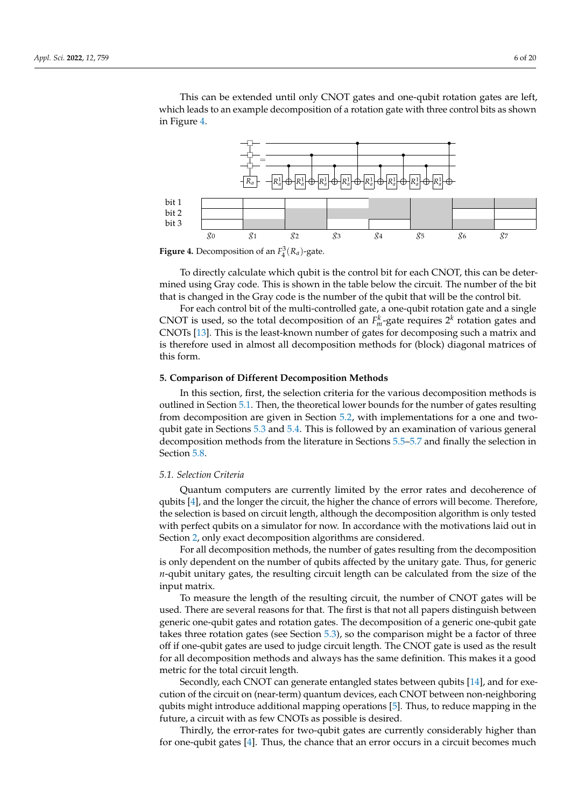This can be extended until only CNOT gates and one-qubit rotation gates are left, which leads to an example decomposition of a rotation gate with three control bits as shown in Figure [4.](#page-6-1)

<span id="page-6-1"></span>

**Figure 4.** Decomposition of an  $F_4^3(R_a)$ -gate.

To directly calculate which qubit is the control bit for each CNOT, this can be determined using Gray code. This is shown in the table below the circuit. The number of the bit that is changed in the Gray code is the number of the qubit that will be the control bit.

For each control bit of the multi-controlled gate, a one-qubit rotation gate and a single CNOT is used, so the total decomposition of an  $F_m^k$ -gate requires  $2^k$  rotation gates and CNOTs [\[13\]](#page-19-12). This is the least-known number of gates for decomposing such a matrix and is therefore used in almost all decomposition methods for (block) diagonal matrices of this form.

#### <span id="page-6-0"></span>**5. Comparison of Different Decomposition Methods**

In this section, first, the selection criteria for the various decomposition methods is outlined in Section [5.1.](#page-6-2) Then, the theoretical lower bounds for the number of gates resulting from decomposition are given in Section [5.2,](#page-7-0) with implementations for a one and twoqubit gate in Sections [5.3](#page-7-1) and [5.4.](#page-7-2) This is followed by an examination of various general decomposition methods from the literature in Sections [5.5](#page-8-0)[–5.7](#page-10-0) and finally the selection in Section [5.8.](#page-10-1)

#### <span id="page-6-2"></span>*5.1. Selection Criteria*

Quantum computers are currently limited by the error rates and decoherence of qubits [\[4\]](#page-19-3), and the longer the circuit, the higher the chance of errors will become. Therefore, the selection is based on circuit length, although the decomposition algorithm is only tested with perfect qubits on a simulator for now. In accordance with the motivations laid out in Section [2,](#page-2-0) only exact decomposition algorithms are considered.

For all decomposition methods, the number of gates resulting from the decomposition is only dependent on the number of qubits affected by the unitary gate. Thus, for generic *n*-qubit unitary gates, the resulting circuit length can be calculated from the size of the input matrix.

To measure the length of the resulting circuit, the number of CNOT gates will be used. There are several reasons for that. The first is that not all papers distinguish between generic one-qubit gates and rotation gates. The decomposition of a generic one-qubit gate takes three rotation gates (see Section [5.3\)](#page-7-1), so the comparison might be a factor of three off if one-qubit gates are used to judge circuit length. The CNOT gate is used as the result for all decomposition methods and always has the same definition. This makes it a good metric for the total circuit length.

Secondly, each CNOT can generate entangled states between qubits [\[14\]](#page-19-13), and for execution of the circuit on (near-term) quantum devices, each CNOT between non-neighboring qubits might introduce additional mapping operations [\[5\]](#page-19-4). Thus, to reduce mapping in the future, a circuit with as few CNOTs as possible is desired.

Thirdly, the error-rates for two-qubit gates are currently considerably higher than for one-qubit gates [\[4\]](#page-19-3). Thus, the chance that an error occurs in a circuit becomes much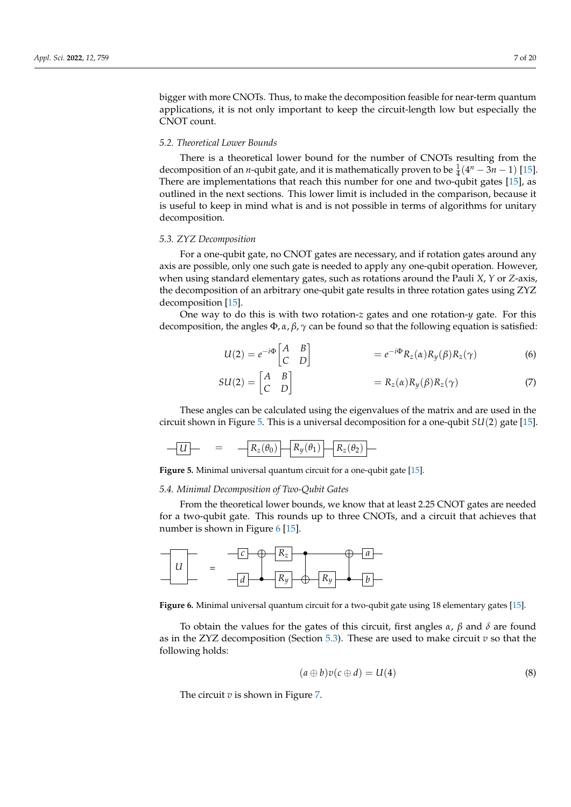bigger with more CNOTs. Thus, to make the decomposition feasible for near-term quantum applications, it is not only important to keep the circuit-length low but especially the CNOT count.

## <span id="page-7-0"></span>*5.2. Theoretical Lower Bounds*

There is a theoretical lower bound for the number of CNOTs resulting from the decomposition of an *n*-qubit gate, and it is mathematically proven to be  $\frac{1}{4}(4^n - 3n - 1)$  [\[15\]](#page-19-14). There are implementations that reach this number for one and two-qubit gates [\[15\]](#page-19-14), as outlined in the next sections. This lower limit is included in the comparison, because it is useful to keep in mind what is and is not possible in terms of algorithms for unitary decomposition.

#### <span id="page-7-1"></span>*5.3. ZYZ Decomposition*

For a one-qubit gate, no CNOT gates are necessary, and if rotation gates around any axis are possible, only one such gate is needed to apply any one-qubit operation. However, when using standard elementary gates, such as rotations around the Pauli *X*, *Y* or *Z*-axis, the decomposition of an arbitrary one-qubit gate results in three rotation gates using ZYZ decomposition [\[15\]](#page-19-14).

One way to do this is with two rotation-*z* gates and one rotation-*y* gate. For this decomposition, the angles  $\Phi$ ,  $\alpha$ ,  $\beta$ ,  $\gamma$  can be found so that the following equation is satisfied:

$$
U(2) = e^{-i\Phi} \begin{bmatrix} A & B \\ C & D \end{bmatrix} = e^{-i\Phi} R_z(\alpha) R_y(\beta) R_z(\gamma) \tag{6}
$$

$$
SU(2) = \begin{bmatrix} A & B \\ C & D \end{bmatrix} = R_z(\alpha) R_y(\beta) R_z(\gamma) \tag{7}
$$

These angles can be calculated using the eigenvalues of the matrix and are used in the circuit shown in Figure [5.](#page-7-3) This is a universal decomposition for a one-qubit *SU*(2) gate [\[15\]](#page-19-14).

<span id="page-7-3"></span>
$$
-U \qquad = \qquad -R_z(\theta_0) - R_y(\theta_1) - R_z(\theta_2) -
$$

**Figure 5.** Minimal universal quantum circuit for a one-qubit gate [\[15\]](#page-19-14).

#### <span id="page-7-2"></span>*5.4. Minimal Decomposition of Two-Qubit Gates*

From the theoretical lower bounds, we know that at least 2.25 CNOT gates are needed for a two-qubit gate. This rounds up to three CNOTs, and a circuit that achieves that number is shown in Figure [6](#page-7-4) [\[15\]](#page-19-14).

<span id="page-7-4"></span>

**Figure 6.** Minimal universal quantum circuit for a two-qubit gate using 18 elementary gates [\[15\]](#page-19-14).

To obtain the values for the gates of this circuit, first angles *α*, *β* and *δ* are found as in the ZYZ decomposition (Section [5.3\)](#page-7-1). These are used to make circuit *v* so that the following holds:

$$
(a \oplus b)v(c \oplus d) = U(4) \tag{8}
$$

The circuit *v* is shown in Figure [7.](#page-8-1)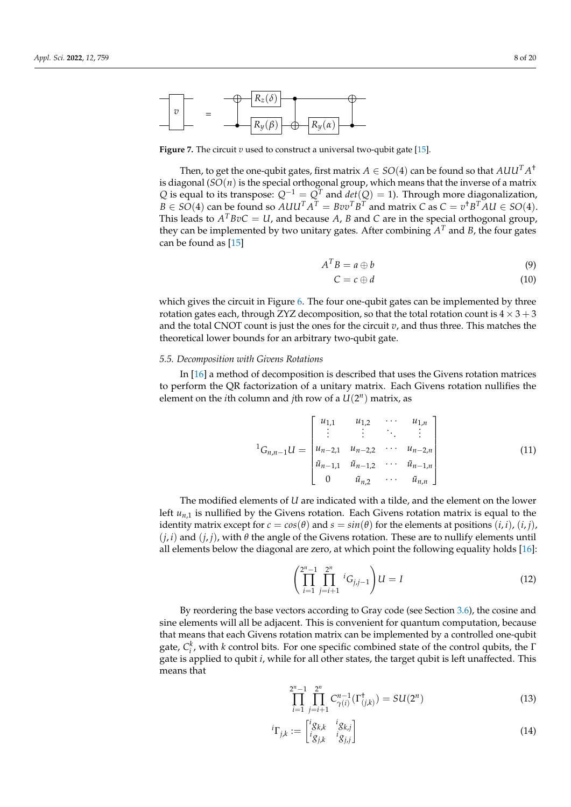<span id="page-8-1"></span>

**Figure 7.** The circuit *v* used to construct a universal two-qubit gate [\[15\]](#page-19-14).

Then, to get the one-qubit gates, first matrix  $A \in SO(4)$  can be found so that  $A U U^T A^\dagger$ is diagonal (*SO*(*n*) is the special orthogonal group, which means that the inverse of a matrix *Q* is equal to its transpose:  $Q^{-1} = Q^T$  and  $det(Q) = 1$ ). Through more diagonalization,  $B \in SO(4)$  can be found so  $AUU^TA^T = Bvv^TB^T$  and matrix  $C$  as  $C = v^{\dagger}B^TAU \in SO(4).$ This leads to  $A^T B v C = U$ , and because A, B and C are in the special orthogonal group, they can be implemented by two unitary gates. After combining *A <sup>T</sup>* and *B*, the four gates can be found as [\[15\]](#page-19-14)

$$
A^T B = a \oplus b \tag{9}
$$

$$
C = c \oplus d \tag{10}
$$

which gives the circuit in Figure [6.](#page-7-4) The four one-qubit gates can be implemented by three rotation gates each, through ZYZ decomposition, so that the total rotation count is  $4 \times 3 + 3$ and the total CNOT count is just the ones for the circuit *v*, and thus three. This matches the theoretical lower bounds for an arbitrary two-qubit gate.

#### <span id="page-8-0"></span>*5.5. Decomposition with Givens Rotations*

In [\[16\]](#page-19-15) a method of decomposition is described that uses the Givens rotation matrices to perform the QR factorization of a unitary matrix. Each Givens rotation nullifies the element on the *i*th column and *j*th row of a  $U(2^n)$  matrix, as

$$
{}^{1}G_{n,n-1}U = \begin{bmatrix} u_{1,1} & u_{1,2} & \cdots & u_{1,n} \\ \vdots & \vdots & \ddots & \vdots \\ u_{n-2,1} & u_{n-2,2} & \cdots & u_{n-2,n} \\ \tilde{u}_{n-1,1} & \tilde{u}_{n-1,2} & \cdots & \tilde{u}_{n-1,n} \\ 0 & \tilde{u}_{n,2} & \cdots & \tilde{u}_{n,n} \end{bmatrix}
$$
(11)

The modified elements of *U* are indicated with a tilde, and the element on the lower left  $u_{n,1}$  is nullified by the Givens rotation. Each Givens rotation matrix is equal to the identity matrix except for  $c = cos(\theta)$  and  $s = sin(\theta)$  for the elements at positions  $(i, i)$ ,  $(i, j)$ ,  $(j, i)$  and  $(j, j)$ , with  $\theta$  the angle of the Givens rotation. These are to nullify elements until all elements below the diagonal are zero, at which point the following equality holds [\[16\]](#page-19-15):

$$
\left(\prod_{i=1}^{2^n-1} \prod_{j=i+1}^{2^n} {}^{i}G_{j,j-1}\right)U = I
$$
\n(12)

By reordering the base vectors according to Gray code (see Section [3.6\)](#page-5-5), the cosine and sine elements will all be adjacent. This is convenient for quantum computation, because that means that each Givens rotation matrix can be implemented by a controlled one-qubit gate,  $C_i^k$ , with *k* control bits. For one specific combined state of the control qubits, the  $\Gamma$ gate is applied to qubit *i*, while for all other states, the target qubit is left unaffected. This means that

$$
\prod_{i=1}^{2^n-1} \prod_{j=i+1}^{2^n} C_{\gamma(i)}^{n-1}(\Gamma_{(j,k)}^{\dagger}) = SU(2^n)
$$
\n(13)

$$
{}^{i}\Gamma_{j,k} := \begin{bmatrix} {}^{i}g_{k,k} & {}^{i}g_{k,j} \\ {}^{i}g_{j,k} & {}^{i}g_{j,j} \end{bmatrix}
$$
 (14)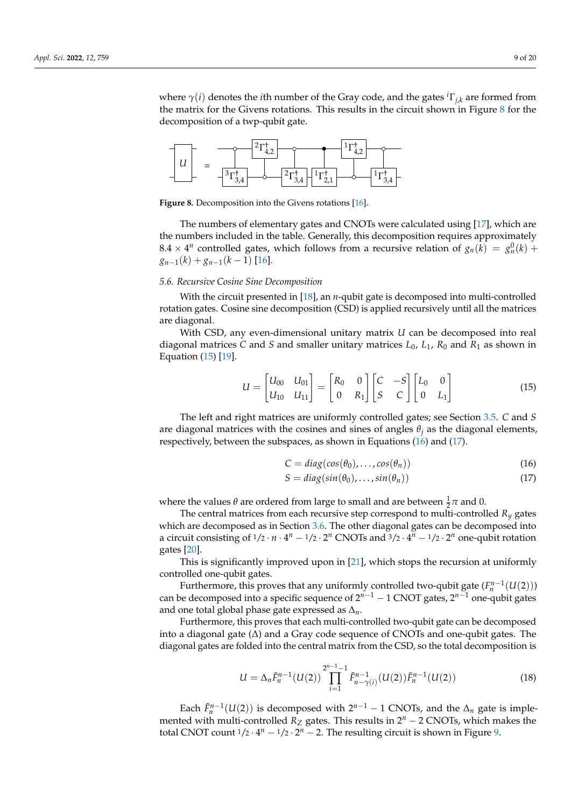where  $\gamma(i)$  denotes the *i*th number of the Gray code, and the gates  ${}^{i}\Gamma_{j,k}$  are formed from the matrix for the Givens rotations. This results in the circuit shown in Figure  $8$  for the decomposition of a twp-qubit gate.

<span id="page-9-0"></span>

**Figure 8.** Decomposition into the Givens rotations [\[16\]](#page-19-15).

The numbers of elementary gates and CNOTs were calculated using [\[17\]](#page-19-16), which are the numbers included in the table. Generally, this decomposition requires approximately  $8.4 \times 4^n$  controlled gates, which follows from a recursive relation of  $g_n(k) = g_n^0(k) +$  $g_{n-1}(k) + g_{n-1}(k-1)$  [\[16\]](#page-19-15).

#### <span id="page-9-4"></span>*5.6. Recursive Cosine Sine Decomposition*

With the circuit presented in [\[18\]](#page-19-17), an *n*-qubit gate is decomposed into multi-controlled rotation gates. Cosine sine decomposition (CSD) is applied recursively until all the matrices are diagonal.

With CSD, any even-dimensional unitary matrix *U* can be decomposed into real diagonal matrices *C* and *S* and smaller unitary matrices  $L_0$ ,  $L_1$ ,  $R_0$  and  $R_1$  as shown in Equation [\(15\)](#page-9-1) [\[19\]](#page-19-18).

$$
U = \begin{bmatrix} U_{00} & U_{01} \\ U_{10} & U_{11} \end{bmatrix} = \begin{bmatrix} R_0 & 0 \\ 0 & R_1 \end{bmatrix} \begin{bmatrix} C & -S \\ S & C \end{bmatrix} \begin{bmatrix} L_0 & 0 \\ 0 & L_1 \end{bmatrix}
$$
(15)

The left and right matrices are uniformly controlled gates; see Section [3.5.](#page-4-1) *C* and *S* are diagonal matrices with the cosines and sines of angles  $\theta_i$  as the diagonal elements, respectively, between the subspaces, as shown in Equations [\(16\)](#page-9-2) and [\(17\)](#page-9-3).

<span id="page-9-3"></span><span id="page-9-2"></span><span id="page-9-1"></span>
$$
C = diag(cos(\theta_0), ..., cos(\theta_n))
$$
\n(16)

$$
S = diag(sin(\theta_0), ..., sin(\theta_n))
$$
\n(17)

where the values  $\theta$  are ordered from large to small and are between  $\frac{1}{2}\pi$  and 0.

The central matrices from each recursive step correspond to multi-controlled  $R_y$  gates which are decomposed as in Section [3.6.](#page-5-5) The other diagonal gates can be decomposed into a circuit consisting of  $1/2 \cdot n \cdot 4^n - 1/2 \cdot 2^n$  CNOTs and  $3/2 \cdot 4^n - 1/2 \cdot 2^n$  one-qubit rotation gates [\[20\]](#page-19-19).

This is significantly improved upon in [\[21\]](#page-19-20), which stops the recursion at uniformly controlled one-qubit gates.

Furthermore, this proves that any uniformly controlled two-qubit gate  $(F_n^{n-1}(U(2)))$ can be decomposed into a specific sequence of 2<sup>*n*−1</sup> − 1 CNOT gates, 2<sup>*n*−1</sup> one-qubit gates and one total global phase gate expressed as ∆*n*.

Furthermore, this proves that each multi-controlled two-qubit gate can be decomposed into a diagonal gate (∆) and a Gray code sequence of CNOTs and one-qubit gates. The diagonal gates are folded into the central matrix from the CSD, so the total decomposition is

$$
U = \Delta_n \tilde{F}_n^{n-1}(U(2)) \prod_{i=1}^{2^{n-1}-1} \tilde{F}_{n-\gamma(i)}^{n-1}(U(2)) \tilde{F}_n^{n-1}(U(2))
$$
\n(18)

Each  $\tilde{F}_n^{n-1}(U(2))$  is decomposed with  $2^{n-1} - 1$  CNOTs, and the  $\Delta_n$  gate is implemented with multi-controlled  $R_Z$  gates. This results in 2<sup>*n*</sup> − 2 CNOTs, which makes the total CNOT count  $1/2 \cdot 4^n - 1/2 \cdot 2^n - 2$ . The resulting circuit is shown in Figure [9.](#page-10-2)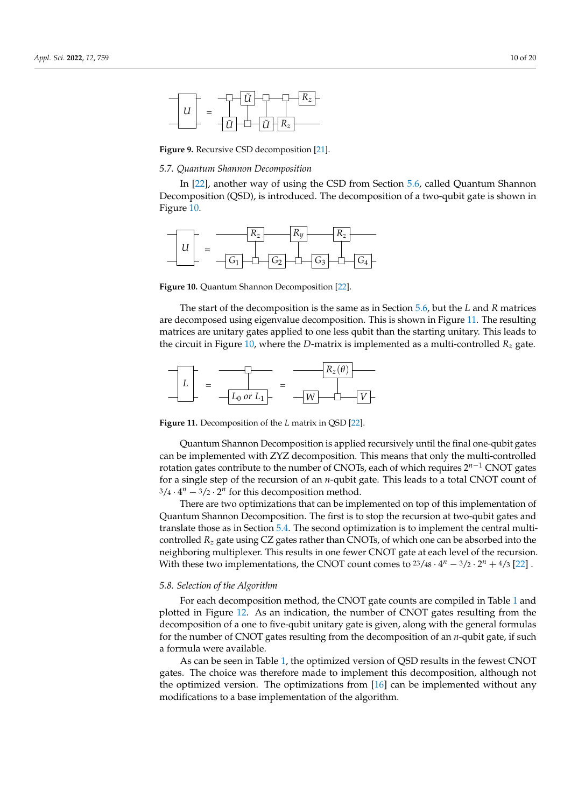<span id="page-10-2"></span>

**Figure 9.** Recursive CSD decomposition [\[21\]](#page-19-20).

#### <span id="page-10-0"></span>*5.7. Quantum Shannon Decomposition*

In [\[22\]](#page-19-21), another way of using the CSD from Section [5.6,](#page-9-4) called Quantum Shannon Decomposition (QSD), is introduced. The decomposition of a two-qubit gate is shown in Figure [10.](#page-10-3)

<span id="page-10-3"></span>

**Figure 10.** Quantum Shannon Decomposition [\[22\]](#page-19-21).

The start of the decomposition is the same as in Section [5.6,](#page-9-4) but the *L* and *R* matrices are decomposed using eigenvalue decomposition. This is shown in Figure [11.](#page-10-4) The resulting matrices are unitary gates applied to one less qubit than the starting unitary. This leads to the circuit in Figure [10,](#page-10-3) where the *D*-matrix is implemented as a multi-controlled  $R<sub>z</sub>$  gate.

<span id="page-10-4"></span>

**Figure 11.** Decomposition of the *L* matrix in QSD [\[22\]](#page-19-21).

Quantum Shannon Decomposition is applied recursively until the final one-qubit gates can be implemented with ZYZ decomposition. This means that only the multi-controlled rotation gates contribute to the number of CNOTs, each of which requires 2 *<sup>n</sup>*−<sup>1</sup> CNOT gates for a single step of the recursion of an *n*-qubit gate. This leads to a total CNOT count of  $3/4 \cdot 4^n - 3/2 \cdot 2^n$  for this decomposition method.

There are two optimizations that can be implemented on top of this implementation of Quantum Shannon Decomposition. The first is to stop the recursion at two-qubit gates and translate those as in Section [5.4.](#page-7-2) The second optimization is to implement the central multicontrolled *R<sup>z</sup>* gate using CZ gates rather than CNOTs, of which one can be absorbed into the neighboring multiplexer. This results in one fewer CNOT gate at each level of the recursion. With these two implementations, the CNOT count comes to  $23/48 \cdot 4^n - 3/2 \cdot 2^n + 4/3$  [\[22\]](#page-19-21).

#### <span id="page-10-1"></span>*5.8. Selection of the Algorithm*

For each decomposition method, the CNOT gate counts are compiled in Table [1](#page-11-1) and plotted in Figure [12.](#page-11-2) As an indication, the number of CNOT gates resulting from the decomposition of a one to five-qubit unitary gate is given, along with the general formulas for the number of CNOT gates resulting from the decomposition of an *n*-qubit gate, if such a formula were available.

As can be seen in Table [1,](#page-11-1) the optimized version of QSD results in the fewest CNOT gates. The choice was therefore made to implement this decomposition, although not the optimized version. The optimizations from [\[16\]](#page-19-15) can be implemented without any modifications to a base implementation of the algorithm.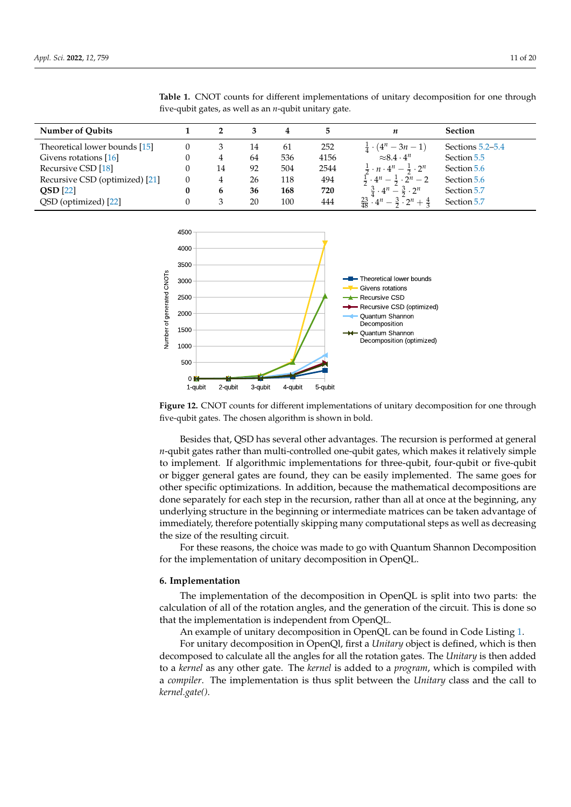| <b>Number of Qubits</b>        |   |    | 3  | 4   |      | n                                                               | <b>Section</b>   |
|--------------------------------|---|----|----|-----|------|-----------------------------------------------------------------|------------------|
| Theoretical lower bounds [15]  |   |    | 14 | 61  | 252  | $\frac{1}{4} \cdot (4^n - 3n - 1)$                              | Sections 5.2–5.4 |
| Givens rotations [16]          |   | 4  | 64 | 536 | 4156 | $\approx 8.4 \cdot 4^n$                                         | Section 5.5      |
| Recursive CSD [18]             |   | 14 | 92 | 504 | 2544 | $\frac{1}{2} \cdot n \cdot 4^n - \frac{1}{2} \cdot 2^n$         | Section 5.6      |
| Recursive CSD (optimized) [21] |   | 4  | 26 | 118 | 494  | $\frac{1}{2} \cdot 4^n - \frac{1}{2} \cdot 2^n - 2$             | Section 5.6      |
| $QSD$ [22]                     | 0 | 6  | 36 | 168 | 720  | $\frac{3}{4} \cdot 4^n - \frac{3}{2} \cdot 2^n$                 | Section 5.7      |
| QSD (optimized) [22]           |   | 3  | 20 | 100 | 444  | $\frac{23}{48} \cdot 4^n - \frac{3}{2} \cdot 2^n + \frac{4}{3}$ | Section 5.7      |

<span id="page-11-1"></span>**Table 1.** CNOT counts for different implementations of unitary decomposition for one through five-qubit gates, as well as an *n*-qubit unitary gate.

<span id="page-11-2"></span>

**Figure 12.** CNOT counts for different implementations of unitary decomposition for one through five-qubit gates. The chosen algorithm is shown in bold.

Besides that, QSD has several other advantages. The recursion is performed at general *n*-qubit gates rather than multi-controlled one-qubit gates, which makes it relatively simple to implement. If algorithmic implementations for three-qubit, four-qubit or five-qubit or bigger general gates are found, they can be easily implemented. The same goes for other specific optimizations. In addition, because the mathematical decompositions are done separately for each step in the recursion, rather than all at once at the beginning, any underlying structure in the beginning or intermediate matrices can be taken advantage of immediately, therefore potentially skipping many computational steps as well as decreasing the size of the resulting circuit.

For these reasons, the choice was made to go with Quantum Shannon Decomposition for the implementation of unitary decomposition in OpenQL.

#### <span id="page-11-0"></span>**6. Implementation**

The implementation of the decomposition in OpenQL is split into two parts: the calculation of all of the rotation angles, and the generation of the circuit. This is done so that the implementation is independent from OpenQL.

An example of unitary decomposition in OpenQL can be found in Code Listing [1.](#page-12-0)

For unitary decomposition in OpenQl, first a *Unitary* object is defined, which is then decomposed to calculate all the angles for all the rotation gates. The *Unitary* is then added to a *kernel* as any other gate. The *kernel* is added to a *program*, which is compiled with a *compiler*. The implementation is thus split between the *Unitary* class and the call to *kernel.gate()*.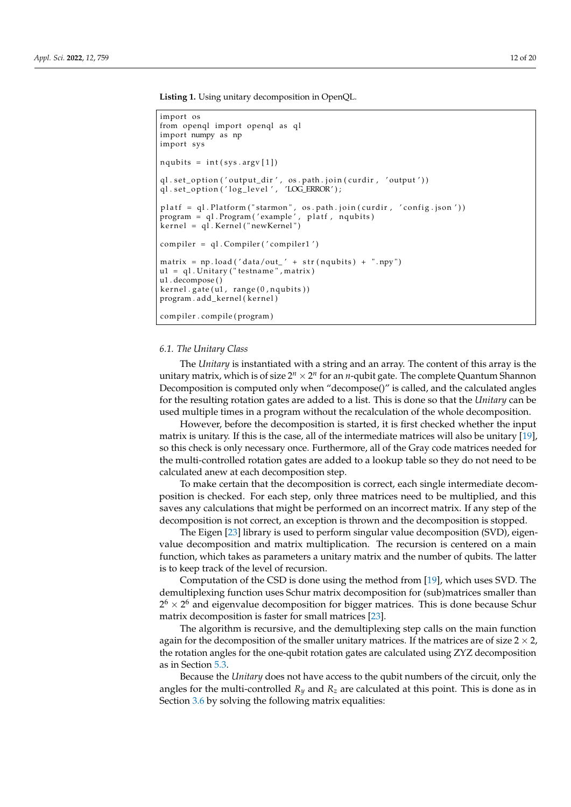**Listing 1.** Using unitary decomposition in OpenQL.

```
import os
from openql import openql as ql
import numpy as np
import sys
nqubits = int(sys.argv[1])ql . set_option(′output_dir′,  os . path . join(curdir ,  ′output′))
ql.set_option(′log_level′, ′LOG_ERROR′);
platf = gl.Platform("starmon", os.path.join(curdir, 'config.ison'))program = ql. Program ('example', platf, nqubits)
kernel = ql. Kernel ("newKernel")
complier = q1. Compiler ('compiler1')
matrix = np.load('data/out' + str(nqubits) + ".npy")u1 = q1. Unitary ("testname", matrix)
u1 . decompose ( )
kernel.gate( u1, range( 0, nqubits))
program. add_kernel (kernel)
compiler . compile ( program )
```
#### *6.1. The Unitary Class*

The *Unitary* is instantiated with a string and an array. The content of this array is the unitary matrix, which is of size  $2^n \times 2^n$  for an *n*-qubit gate. The complete Quantum Shannon Decomposition is computed only when "decompose()" is called, and the calculated angles for the resulting rotation gates are added to a list. This is done so that the *Unitary* can be used multiple times in a program without the recalculation of the whole decomposition.

However, before the decomposition is started, it is first checked whether the input matrix is unitary. If this is the case, all of the intermediate matrices will also be unitary [\[19\]](#page-19-18), so this check is only necessary once. Furthermore, all of the Gray code matrices needed for the multi-controlled rotation gates are added to a lookup table so they do not need to be calculated anew at each decomposition step.

To make certain that the decomposition is correct, each single intermediate decomposition is checked. For each step, only three matrices need to be multiplied, and this saves any calculations that might be performed on an incorrect matrix. If any step of the decomposition is not correct, an exception is thrown and the decomposition is stopped.

The Eigen [\[23\]](#page-19-22) library is used to perform singular value decomposition (SVD), eigenvalue decomposition and matrix multiplication. The recursion is centered on a main function, which takes as parameters a unitary matrix and the number of qubits. The latter is to keep track of the level of recursion.

Computation of the CSD is done using the method from [\[19\]](#page-19-18), which uses SVD. The demultiplexing function uses Schur matrix decomposition for (sub)matrices smaller than  $2^6 \times 2^6$  and eigenvalue decomposition for bigger matrices. This is done because Schur matrix decomposition is faster for small matrices [\[23\]](#page-19-22).

The algorithm is recursive, and the demultiplexing step calls on the main function again for the decomposition of the smaller unitary matrices. If the matrices are of size  $2 \times 2$ , the rotation angles for the one-qubit rotation gates are calculated using ZYZ decomposition as in Section [5.3.](#page-7-1)

Because the *Unitary* does not have access to the qubit numbers of the circuit, only the angles for the multi-controlled  $R_y$  and  $R_z$  are calculated at this point. This is done as in Section [3.6](#page-5-5) by solving the following matrix equalities: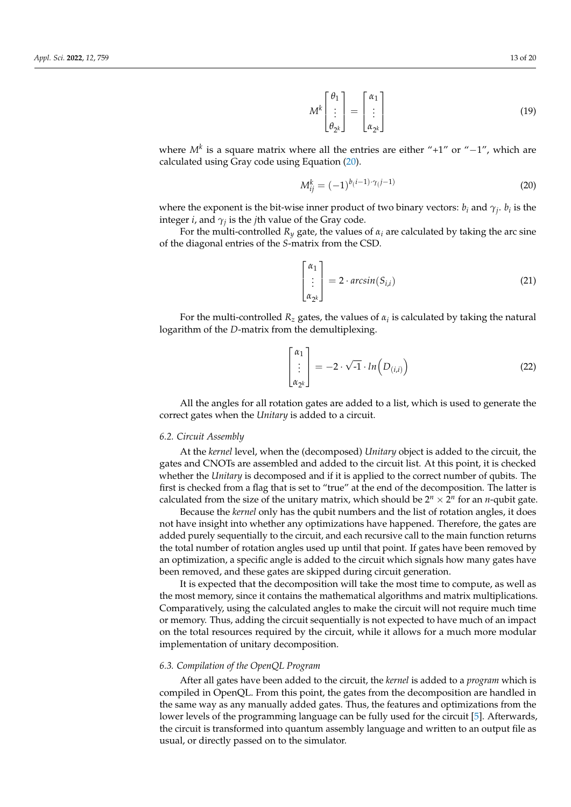$$
M^{k}\begin{bmatrix} \theta_{1} \\ \vdots \\ \theta_{2^{k}} \end{bmatrix} = \begin{bmatrix} \alpha_{1} \\ \vdots \\ \alpha_{2^{k}} \end{bmatrix}
$$
 (19)

where *M<sup>k</sup>* is a square matrix where all the entries are either "+1" or "−1", which are calculated using Gray code using Equation [\(20\)](#page-13-0).

<span id="page-13-0"></span>
$$
M_{ij}^k = (-1)^{b(i-1)\cdot \gamma(j-1)}
$$
\n(20)

where the exponent is the bit-wise inner product of two binary vectors:  $b_i$  and  $\gamma_j$ .  $b_i$  is the integer *i*, and  $\gamma_j$  is the *j*th value of the Gray code.

For the multi-controlled  $R_y$  gate, the values of  $\alpha_i$  are calculated by taking the arc sine of the diagonal entries of the *S*-matrix from the CSD.

$$
\begin{bmatrix} \alpha_1 \\ \vdots \\ \alpha_{2^k} \end{bmatrix} = 2 \cdot \arcsin(S_{i,i})
$$
 (21)

For the multi-controlled  $R_z$  gates, the values of  $\alpha_i$  is calculated by taking the natural logarithm of the *D*-matrix from the demultiplexing.

$$
\begin{bmatrix} \alpha_1 \\ \vdots \\ \alpha_{2^k} \end{bmatrix} = -2 \cdot \sqrt{-1} \cdot \ln(D_{(i,i)})
$$
 (22)

All the angles for all rotation gates are added to a list, which is used to generate the correct gates when the *Unitary* is added to a circuit.

#### *6.2. Circuit Assembly*

At the *kernel* level, when the (decomposed) *Unitary* object is added to the circuit, the gates and CNOTs are assembled and added to the circuit list. At this point, it is checked whether the *Unitary* is decomposed and if it is applied to the correct number of qubits. The first is checked from a flag that is set to "true" at the end of the decomposition. The latter is calculated from the size of the unitary matrix, which should be  $2^n \times 2^n$  for an *n*-qubit gate.

Because the *kernel* only has the qubit numbers and the list of rotation angles, it does not have insight into whether any optimizations have happened. Therefore, the gates are added purely sequentially to the circuit, and each recursive call to the main function returns the total number of rotation angles used up until that point. If gates have been removed by an optimization, a specific angle is added to the circuit which signals how many gates have been removed, and these gates are skipped during circuit generation.

It is expected that the decomposition will take the most time to compute, as well as the most memory, since it contains the mathematical algorithms and matrix multiplications. Comparatively, using the calculated angles to make the circuit will not require much time or memory. Thus, adding the circuit sequentially is not expected to have much of an impact on the total resources required by the circuit, while it allows for a much more modular implementation of unitary decomposition.

#### *6.3. Compilation of the OpenQL Program*

After all gates have been added to the circuit, the *kernel* is added to a *program* which is compiled in OpenQL. From this point, the gates from the decomposition are handled in the same way as any manually added gates. Thus, the features and optimizations from the lower levels of the programming language can be fully used for the circuit [\[5\]](#page-19-4). Afterwards, the circuit is transformed into quantum assembly language and written to an output file as usual, or directly passed on to the simulator.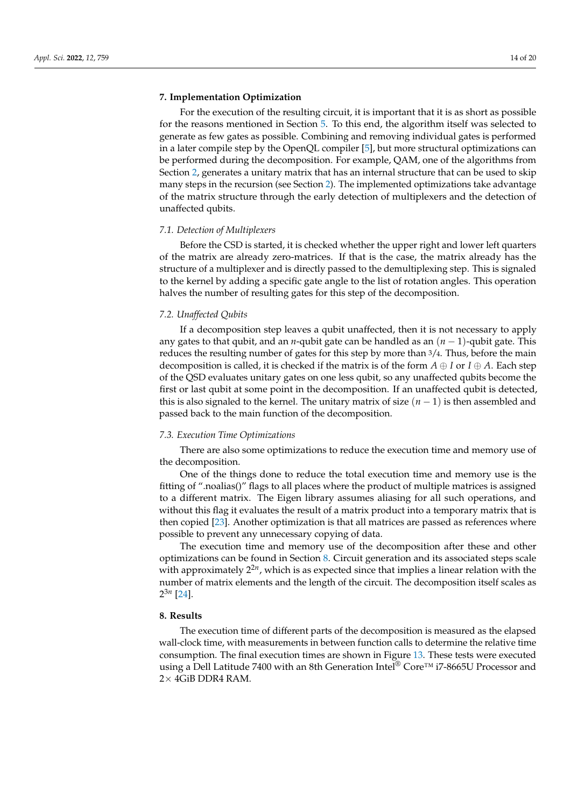#### <span id="page-14-0"></span>**7. Implementation Optimization**

For the execution of the resulting circuit, it is important that it is as short as possible for the reasons mentioned in Section [5.](#page-6-0) To this end, the algorithm itself was selected to generate as few gates as possible. Combining and removing individual gates is performed in a later compile step by the OpenQL compiler [\[5\]](#page-19-4), but more structural optimizations can be performed during the decomposition. For example, QAM, one of the algorithms from Section [2,](#page-2-0) generates a unitary matrix that has an internal structure that can be used to skip many steps in the recursion (see Section [2\)](#page-2-0). The implemented optimizations take advantage of the matrix structure through the early detection of multiplexers and the detection of unaffected qubits.

#### *7.1. Detection of Multiplexers*

Before the CSD is started, it is checked whether the upper right and lower left quarters of the matrix are already zero-matrices. If that is the case, the matrix already has the structure of a multiplexer and is directly passed to the demultiplexing step. This is signaled to the kernel by adding a specific gate angle to the list of rotation angles. This operation halves the number of resulting gates for this step of the decomposition.

#### *7.2. Unaffected Qubits*

If a decomposition step leaves a qubit unaffected, then it is not necessary to apply any gates to that qubit, and an *n*-qubit gate can be handled as an (*n* − 1)-qubit gate. This reduces the resulting number of gates for this step by more than 3/4. Thus, before the main decomposition is called, it is checked if the matrix is of the form  $A \oplus I$  or  $I \oplus A$ . Each step of the QSD evaluates unitary gates on one less qubit, so any unaffected qubits become the first or last qubit at some point in the decomposition. If an unaffected qubit is detected, this is also signaled to the kernel. The unitary matrix of size (*n* − 1) is then assembled and passed back to the main function of the decomposition.

## *7.3. Execution Time Optimizations*

There are also some optimizations to reduce the execution time and memory use of the decomposition.

One of the things done to reduce the total execution time and memory use is the fitting of ".noalias()" flags to all places where the product of multiple matrices is assigned to a different matrix. The Eigen library assumes aliasing for all such operations, and without this flag it evaluates the result of a matrix product into a temporary matrix that is then copied [\[23\]](#page-19-22). Another optimization is that all matrices are passed as references where possible to prevent any unnecessary copying of data.

The execution time and memory use of the decomposition after these and other optimizations can be found in Section [8.](#page-14-1) Circuit generation and its associated steps scale with approximately 2 2*n* , which is as expected since that implies a linear relation with the number of matrix elements and the length of the circuit. The decomposition itself scales as 2 3*n* [\[24\]](#page-19-23).

## <span id="page-14-1"></span>**8. Results**

The execution time of different parts of the decomposition is measured as the elapsed wall-clock time, with measurements in between function calls to determine the relative time consumption. The final execution times are shown in Figure [13.](#page-15-0) These tests were executed using a Dell Latitude 7400 with an 8th Generation Intel<sup>®</sup> Core<sup>™</sup> i7-8665U Processor and  $2\times$  4GiB DDR4 RAM.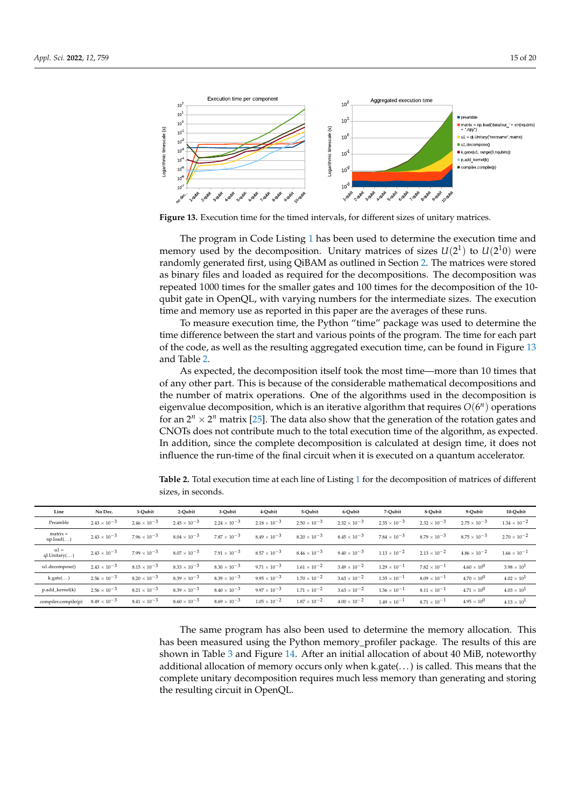<span id="page-15-0"></span>

**Figure 13.** Execution time for the timed intervals, for different sizes of unitary matrices.

The program in Code Listing [1](#page-12-0) has been used to determine the execution time and memory used by the decomposition. Unitary matrices of sizes  $U(2^1)$  to  $U(2^10)$  were randomly generated first, using QiBAM as outlined in Section [2.](#page-2-0) The matrices were stored as binary files and loaded as required for the decompositions. The decomposition was repeated 1000 times for the smaller gates and 100 times for the decomposition of the 10 qubit gate in OpenQL, with varying numbers for the intermediate sizes. The execution time and memory use as reported in this paper are the averages of these runs.

To measure execution time, the Python "time" package was used to determine the time difference between the start and various points of the program. The time for each part of the code, as well as the resulting aggregated execution time, can be found in Figure [13](#page-15-0) and Table [2.](#page-15-1)

As expected, the decomposition itself took the most time—more than 10 times that of any other part. This is because of the considerable mathematical decompositions and the number of matrix operations. One of the algorithms used in the decomposition is eigenvalue decomposition, which is an iterative algorithm that requires *O*(6 *n* ) operations for an  $2^n \times 2^n$  matrix [\[25\]](#page-19-24). The data also show that the generation of the rotation gates and CNOTs does not contribute much to the total execution time of the algorithm, as expected. In addition, since the complete decomposition is calculated at design time, it does not influence the run-time of the final circuit when it is executed on a quantum accelerator.

| Line                    | No Dec.               | 1-Oubit               | 2-Oubit               | 3-Oubit               | 4-Oubit               | 5-Oubit               | 6-Oubit               | 7-Oubit               | 8-Oubit               | 9-Oubit               | 10-Oubit              |
|-------------------------|-----------------------|-----------------------|-----------------------|-----------------------|-----------------------|-----------------------|-----------------------|-----------------------|-----------------------|-----------------------|-----------------------|
| Preamble                | $2.43 \times 10^{-3}$ | $2.46 \times 10^{-3}$ | $2.45 \times 10^{-3}$ | $2.24 \times 10^{-3}$ | $2.18 \times 10^{-3}$ | $2.50 \times 10^{-3}$ | $2.32 \times 10^{-3}$ | $2.35 \times 10^{-3}$ | $2.32 \times 10^{-3}$ | $2.75 \times 10^{-3}$ | $1.34 \times 10^{-2}$ |
| $matrix =$<br>np.load() | $2.43 \times 10^{-3}$ | $7.96 \times 10^{-3}$ | $8.04 \times 10^{-3}$ | $7.87 \times 10^{-3}$ | $8.49 \times 10^{-3}$ | $8.20 \times 10^{-3}$ | $8.45 \times 10^{-3}$ | $7.84 \times 10^{-3}$ | $8.79 \times 10^{-3}$ | $8.75 \times 10^{-3}$ | $2.70 \times 10^{-2}$ |
| $u1 =$<br>ql.Unitary()  | $2.43 \times 10^{-3}$ | $7.99 \times 10^{-3}$ | $8.07 \times 10^{-3}$ | $7.91 \times 10^{-3}$ | $8.57 \times 10^{-3}$ | $8.46 \times 10^{-3}$ | $9.40 \times 10^{-3}$ | $1.13 \times 10^{-2}$ | $2.13 \times 10^{-2}$ | $4.86 \times 10^{-2}$ | $1.66 \times 10^{-1}$ |
| u1.decompose()          | $2.43 \times 10^{-3}$ | $8.15 \times 10^{-3}$ | $8.33 \times 10^{-3}$ | $8.30 \times 10^{-3}$ | $9.71 \times 10^{-3}$ | $1.61 \times 10^{-2}$ | $3.49 \times 10^{-2}$ | $1.29 \times 10^{-1}$ | $7.82 \times 10^{-1}$ | $4.60 \times 10^{0}$  | $3.98 \times 10^{1}$  |
| k.gate()                | $2.56 \times 10^{-3}$ | $8.20 \times 10^{-3}$ | $8.39 \times 10^{-3}$ | $8.39 \times 10^{-3}$ | $9.95 \times 10^{-3}$ | $1.70 \times 10^{-2}$ | $3.63 \times 10^{-2}$ | $1.35 \times 10^{-1}$ | $8.09 \times 10^{-1}$ | $4.70 \times 10^{0}$  | $4.02 \times 10^{1}$  |
| p.add_kernel(k)         | $2.56 \times 10^{-3}$ | $8.21 \times 10^{-3}$ | $8.39 \times 10^{-3}$ | $8.40 \times 10^{-3}$ | $9.97 \times 10^{-3}$ | $1.71 \times 10^{-2}$ | $3.63 \times 10^{-2}$ | $1.36 \times 10^{-1}$ | $8.11 \times 10^{-1}$ | $4.71 \times 10^{0}$  | $4.03 \times 10^{1}$  |
| compiler.compile(p)     | $8.49 \times 10^{-3}$ | $8.41 \times 10^{-3}$ | $8.60 \times 10^{-3}$ | $8.69 \times 10^{-3}$ | $1.05 \times 10^{-2}$ | $1.87 \times 10^{-2}$ | $4.00 \times 10^{-2}$ | $1.49 \times 10^{-1}$ | $8.71 \times 10^{-1}$ | $4.95 \times 10^{0}$  | $4.13 \times 10^{1}$  |

<span id="page-15-1"></span>**Table 2.** Total execution time at each line of Listing [1](#page-12-0) for the decomposition of matrices of different sizes, in seconds.

The same program has also been used to determine the memory allocation. This has been measured using the Python memory\_profiler package. The results of this are shown in Table [3](#page-16-1) and Figure [14.](#page-16-2) After an initial allocation of about 40 MiB, noteworthy additional allocation of memory occurs only when k.gate(. . . ) is called. This means that the complete unitary decomposition requires much less memory than generating and storing the resulting circuit in OpenQL.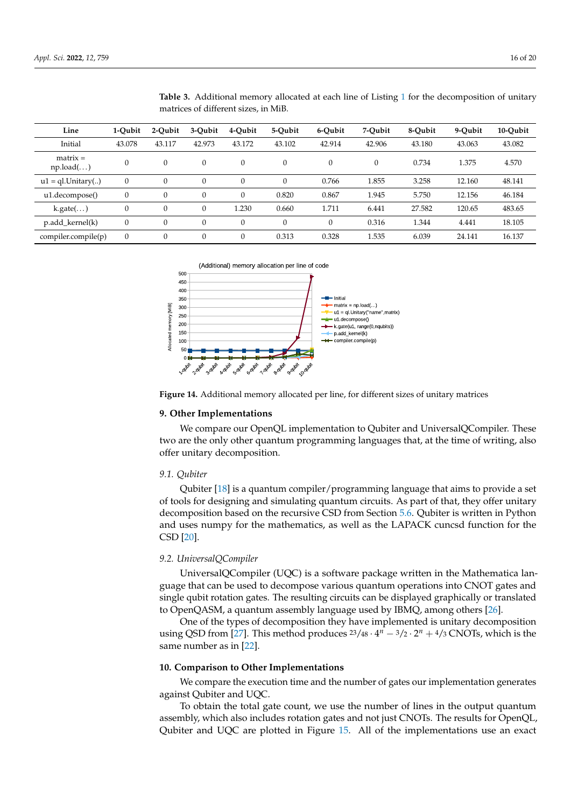| Line                         | 1-Oubit      | 2-Oubit      | 3-Qubit  | 4-Qubit      | 5-Oubit  | 6-Qubit          | 7-Oubit  | 8-Oubit | 9-Oubit | 10-Qubit |
|------------------------------|--------------|--------------|----------|--------------|----------|------------------|----------|---------|---------|----------|
| Initial                      | 43.078       | 43.117       | 42.973   | 43.172       | 43.102   | 42.914           | 42.906   | 43.180  | 43.063  | 43.082   |
| $matrix =$<br>np.load()      | $\theta$     | $\theta$     | $\theta$ | $\theta$     | $\theta$ | $\boldsymbol{0}$ | $\Omega$ | 0.734   | 1.375   | 4.570    |
| $u1 = ql$ . Unitary $\ldots$ | $\mathbf{0}$ | $\Omega$     |          | $\theta$     | $\theta$ | 0.766            | 1.855    | 3.258   | 12.160  | 48.141   |
| u1.decompose()               | 0            | $\theta$     | $\theta$ | $\mathbf{0}$ | 0.820    | 0.867            | 1.945    | 5.750   | 12.156  | 46.184   |
| $k.gate$                     |              | $\mathbf{0}$ | $\theta$ | 1.230        | 0.660    | 1.711            | 6.441    | 27.582  | 120.65  | 483.65   |
| p.add_kernel(k)              | $\Omega$     | $\Omega$     | $\Omega$ | $\theta$     | $\theta$ | $\boldsymbol{0}$ | 0.316    | 1.344   | 4.441   | 18.105   |
| compiler.compile(p)          | $\mathbf{0}$ | $\Omega$     | $\Omega$ | $\theta$     | 0.313    | 0.328            | 1.535    | 6.039   | 24.141  | 16.137   |

<span id="page-16-1"></span>**Table 3.** Additional memory allocated at each line of Listing [1](#page-12-0) for the decomposition of unitary matrices of different sizes, in MiB.



<span id="page-16-2"></span>

**Figure 14.** Additional memory allocated per line, for different sizes of unitary matrices

### **9. Other Implementations**

We compare our OpenQL implementation to Qubiter and UniversalQCompiler. These two are the only other quantum programming languages that, at the time of writing, also offer unitary decomposition.

#### *9.1. Qubiter*

Qubiter [\[18\]](#page-19-17) is a quantum compiler/programming language that aims to provide a set of tools for designing and simulating quantum circuits. As part of that, they offer unitary decomposition based on the recursive CSD from Section [5.6.](#page-9-4) Qubiter is written in Python and uses numpy for the mathematics, as well as the LAPACK cuncsd function for the CSD [\[20\]](#page-19-19).

## *9.2. UniversalQCompiler*

UniversalQCompiler (UQC) is a software package written in the Mathematica language that can be used to decompose various quantum operations into CNOT gates and single qubit rotation gates. The resulting circuits can be displayed graphically or translated to OpenQASM, a quantum assembly language used by IBMQ, among others [\[26\]](#page-19-25).

One of the types of decomposition they have implemented is unitary decomposition using QSD from [\[27\]](#page-19-26). This method produces  $23/48 \cdot 4^n - 3/2 \cdot 2^n + 4/3$  CNOTs, which is the same number as in [\[22\]](#page-19-21).

## <span id="page-16-0"></span>**10. Comparison to Other Implementations**

We compare the execution time and the number of gates our implementation generates against Qubiter and UQC.

To obtain the total gate count, we use the number of lines in the output quantum assembly, which also includes rotation gates and not just CNOTs. The results for OpenQL, Qubiter and UQC are plotted in Figure [15.](#page-17-0) All of the implementations use an exact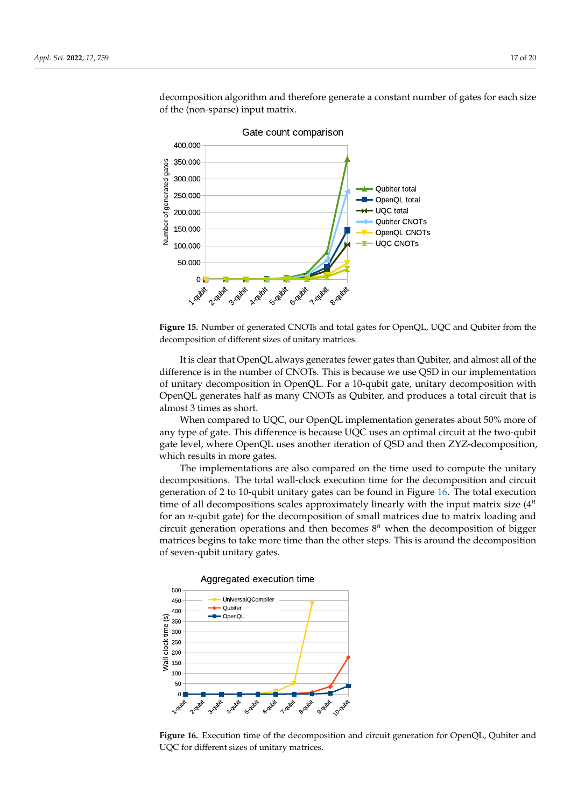<span id="page-17-0"></span>

decomposition algorithm and therefore generate a constant number of gates for each size of the (non-sparse) input matrix.

**Figure 15.** Number of generated CNOTs and total gates for OpenQL, UQC and Qubiter from the decomposition of different sizes of unitary matrices.

It is clear that OpenQL always generates fewer gates than Qubiter, and almost all of the difference is in the number of CNOTs. This is because we use QSD in our implementation of unitary decomposition in OpenQL. For a 10-qubit gate, unitary decomposition with OpenQL generates half as many CNOTs as Qubiter, and produces a total circuit that is almost 3 times as short.

When compared to UQC, our OpenQL implementation generates about 50% more of any type of gate. This difference is because UQC uses an optimal circuit at the two-qubit gate level, where OpenQL uses another iteration of QSD and then ZYZ-decomposition, which results in more gates.

The implementations are also compared on the time used to compute the unitary decompositions. The total wall-clock execution time for the decomposition and circuit generation of 2 to 10-qubit unitary gates can be found in Figure [16.](#page-17-1) The total execution time of all decompositions scales approximately linearly with the input matrix size (4 *n* for an *n*-qubit gate) for the decomposition of small matrices due to matrix loading and circuit generation operations and then becomes 8 *<sup>n</sup>* when the decomposition of bigger matrices begins to take more time than the other steps. This is around the decomposition of seven-qubit unitary gates.

<span id="page-17-1"></span>

Aggregated execution time

**Figure 16.** Execution time of the decomposition and circuit generation for OpenQL, Qubiter and UQC for different sizes of unitary matrices.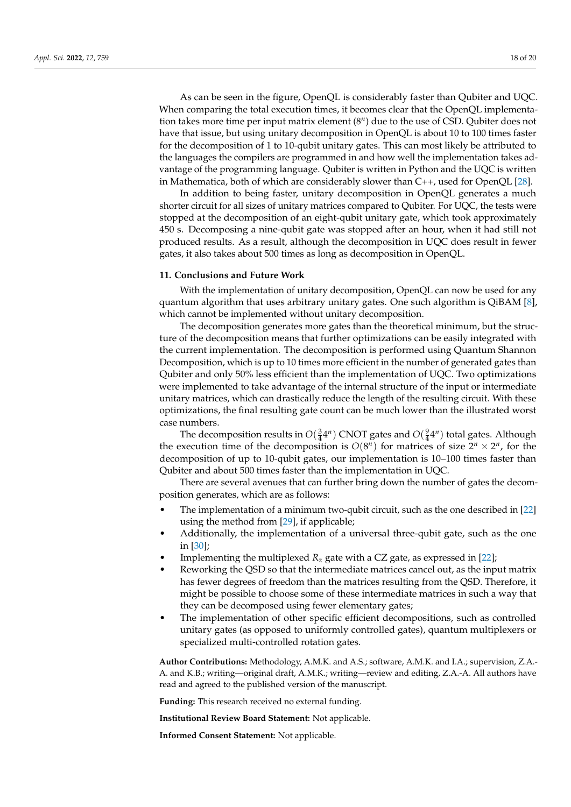As can be seen in the figure, OpenQL is considerably faster than Qubiter and UQC. When comparing the total execution times, it becomes clear that the OpenQL implementation takes more time per input matrix element (8<sup>n</sup>) due to the use of CSD. Qubiter does not have that issue, but using unitary decomposition in OpenQL is about 10 to 100 times faster for the decomposition of 1 to 10-qubit unitary gates. This can most likely be attributed to the languages the compilers are programmed in and how well the implementation takes advantage of the programming language. Qubiter is written in Python and the UQC is written in Mathematica, both of which are considerably slower than C++, used for OpenQL [\[28\]](#page-19-27).

In addition to being faster, unitary decomposition in OpenQL generates a much shorter circuit for all sizes of unitary matrices compared to Qubiter. For UQC, the tests were stopped at the decomposition of an eight-qubit unitary gate, which took approximately 450 s. Decomposing a nine-qubit gate was stopped after an hour, when it had still not produced results. As a result, although the decomposition in UQC does result in fewer gates, it also takes about 500 times as long as decomposition in OpenQL.

#### <span id="page-18-0"></span>**11. Conclusions and Future Work**

With the implementation of unitary decomposition, OpenQL can now be used for any quantum algorithm that uses arbitrary unitary gates. One such algorithm is QiBAM [\[8\]](#page-19-7), which cannot be implemented without unitary decomposition.

The decomposition generates more gates than the theoretical minimum, but the structure of the decomposition means that further optimizations can be easily integrated with the current implementation. The decomposition is performed using Quantum Shannon Decomposition, which is up to 10 times more efficient in the number of generated gates than Qubiter and only 50% less efficient than the implementation of UQC. Two optimizations were implemented to take advantage of the internal structure of the input or intermediate unitary matrices, which can drastically reduce the length of the resulting circuit. With these optimizations, the final resulting gate count can be much lower than the illustrated worst case numbers.

The decomposition results in  $O(\frac{3}{4}4^n)$  CNOT gates and  $O(\frac{9}{4}4^n)$  total gates. Although the execution time of the decomposition is  $O(8^n)$  for matrices of size  $2^n \times 2^n$ , for the decomposition of up to 10-qubit gates, our implementation is 10–100 times faster than Qubiter and about 500 times faster than the implementation in UQC.

There are several avenues that can further bring down the number of gates the decomposition generates, which are as follows:

- The implementation of a minimum two-qubit circuit, such as the one described in [\[22\]](#page-19-21) using the method from [\[29\]](#page-19-28), if applicable;
- Additionally, the implementation of a universal three-qubit gate, such as the one in [\[30\]](#page-20-0);
- Implementing the multiplexed  $R_z$  gate with a CZ gate, as expressed in [\[22\]](#page-19-21);
- Reworking the QSD so that the intermediate matrices cancel out, as the input matrix has fewer degrees of freedom than the matrices resulting from the QSD. Therefore, it might be possible to choose some of these intermediate matrices in such a way that they can be decomposed using fewer elementary gates;
- The implementation of other specific efficient decompositions, such as controlled unitary gates (as opposed to uniformly controlled gates), quantum multiplexers or specialized multi-controlled rotation gates.

**Author Contributions:** Methodology, A.M.K. and A.S.; software, A.M.K. and I.A.; supervision, Z.A.- A. and K.B.; writing—original draft, A.M.K.; writing—review and editing, Z.A.-A. All authors have read and agreed to the published version of the manuscript.

**Funding:** This research received no external funding.

**Institutional Review Board Statement:** Not applicable.

**Informed Consent Statement:** Not applicable.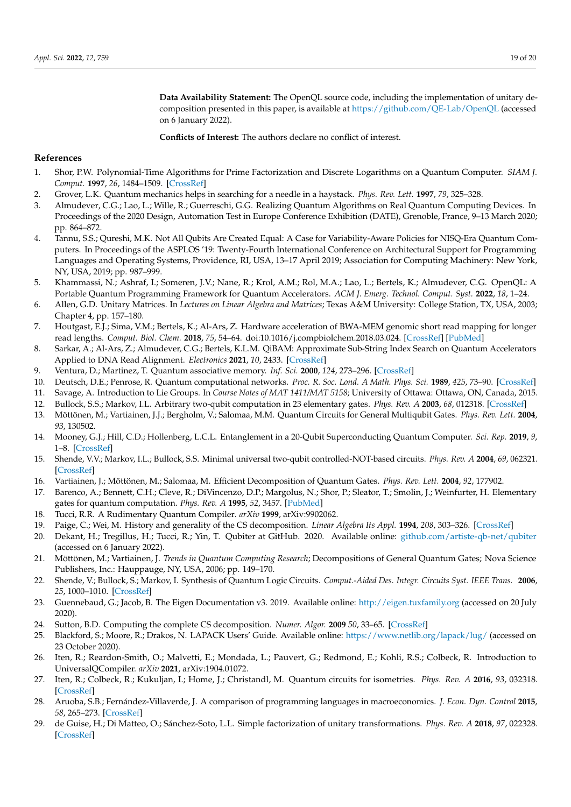**Data Availability Statement:** The OpenQL source code, including the implementation of unitary decomposition presented in this paper, is available at <https://github.com/QE-Lab/OpenQL> (accessed on 6 January 2022).

**Conflicts of Interest:** The authors declare no conflict of interest.

## **References**

- <span id="page-19-0"></span>1. Shor, P.W. Polynomial-Time Algorithms for Prime Factorization and Discrete Logarithms on a Quantum Computer. *SIAM J. Comput.* **1997**, *26*, 1484–1509. [\[CrossRef\]](http://doi.org/10.1137/S0097539795293172)
- <span id="page-19-1"></span>2. Grover, L.K. Quantum mechanics helps in searching for a needle in a haystack. *Phys. Rev. Lett.* **1997**, *79*, 325–328.
- <span id="page-19-2"></span>3. Almudever, C.G.; Lao, L.; Wille, R.; Guerreschi, G.G. Realizing Quantum Algorithms on Real Quantum Computing Devices. In Proceedings of the 2020 Design, Automation Test in Europe Conference Exhibition (DATE), Grenoble, France, 9–13 March 2020; pp. 864–872.
- <span id="page-19-3"></span>4. Tannu, S.S.; Qureshi, M.K. Not All Qubits Are Created Equal: A Case for Variability-Aware Policies for NISQ-Era Quantum Computers. In Proceedings of the ASPLOS '19: Twenty-Fourth International Conference on Architectural Support for Programming Languages and Operating Systems, Providence, RI, USA, 13–17 April 2019; Association for Computing Machinery: New York, NY, USA, 2019; pp. 987–999.
- <span id="page-19-4"></span>5. Khammassi, N.; Ashraf, I.; Someren, J.V.; Nane, R.; Krol, A.M.; Rol, M.A.; Lao, L.; Bertels, K.; Almudever, C.G. OpenQL: A Portable Quantum Programming Framework for Quantum Accelerators. *ACM J. Emerg. Technol. Comput. Syst.* **2022**, *18*, 1–24.
- <span id="page-19-5"></span>6. Allen, G.D. Unitary Matrices. In *Lectures on Linear Algebra and Matrices*; Texas A&M University: College Station, TX, USA, 2003; Chapter 4, pp. 157–180.
- <span id="page-19-6"></span>7. Houtgast, E.J.; Sima, V.M.; Bertels, K.; Al-Ars, Z. Hardware acceleration of BWA-MEM genomic short read mapping for longer read lengths. *Comput. Biol. Chem.* **2018**, *75*, 54–64. doi:10.1016/j.compbiolchem.2018.03.024. [\[CrossRef\]](http://dx.doi.org/10.1016/j.compbiolchem.2018.03.024) [\[PubMed\]](http://www.ncbi.nlm.nih.gov/pubmed/29747076)
- <span id="page-19-7"></span>8. Sarkar, A.; Al-Ars, Z.; Almudever, C.G.; Bertels, K.L.M. QiBAM: Approximate Sub-String Index Search on Quantum Accelerators Applied to DNA Read Alignment. *Electronics* **2021**, *10*, 2433. [\[CrossRef\]](http://dx.doi.org/10.3390/electronics10192433)
- <span id="page-19-8"></span>9. Ventura, D.; Martinez, T. Quantum associative memory. *Inf. Sci.* **2000**, *124*, 273–296. [\[CrossRef\]](http://dx.doi.org/10.1016/S0020-0255(99)00101-2)
- <span id="page-19-9"></span>10. Deutsch, D.E.; Penrose, R. Quantum computational networks. *Proc. R. Soc. Lond. A Math. Phys. Sci.* **1989**, *425*, 73–90. [\[CrossRef\]](http://dx.doi.org/10.1098/rspa.1989.0099)
- <span id="page-19-10"></span>11. Savage, A. Introduction to Lie Groups. In *Course Notes of MAT 1411/MAT 5158*; University of Ottawa: Ottawa, ON, Canada, 2015.
- <span id="page-19-11"></span>12. Bullock, S.S.; Markov, I.L. Arbitrary two-qubit computation in 23 elementary gates. *Phys. Rev. A* **2003**, *68*, 012318. [\[CrossRef\]](http://dx.doi.org/10.1103/physreva. 68.012318)
- <span id="page-19-12"></span>13. Möttönen, M.; Vartiainen, J.J.; Bergholm, V.; Salomaa, M.M. Quantum Circuits for General Multiqubit Gates. *Phys. Rev. Lett.* **2004**, *93*, 130502.
- <span id="page-19-13"></span>14. Mooney, G.J.; Hill, C.D.; Hollenberg, L.C.L. Entanglement in a 20-Qubit Superconducting Quantum Computer. *Sci. Rep.* **2019**, *9*, 1–8. [\[CrossRef\]](http://dx.doi.org/10.1038/s41598-019-49805-7)
- <span id="page-19-14"></span>15. Shende, V.V.; Markov, I.L.; Bullock, S.S. Minimal universal two-qubit controlled-NOT-based circuits. *Phys. Rev. A* **2004**, *69*, 062321. [\[CrossRef\]](http://dx.doi.org/10.1103/physreva.69.062321)
- <span id="page-19-15"></span>16. Vartiainen, J.; Möttönen, M.; Salomaa, M. Efficient Decomposition of Quantum Gates. *Phys. Rev. Lett.* **2004**, *92*, 177902.
- <span id="page-19-16"></span>17. Barenco, A.; Bennett, C.H.; Cleve, R.; DiVincenzo, D.P.; Margolus, N.; Shor, P.; Sleator, T.; Smolin, J.; Weinfurter, H. Elementary gates for quantum computation. *Phys. Rev. A* **1995**, *52*, 3457. [\[PubMed\]](http://www.ncbi.nlm.nih.gov/pubmed/9912645)
- <span id="page-19-17"></span>18. Tucci, R.R. A Rudimentary Quantum Compiler. *arXiv* **1999**, arXiv:9902062.
- <span id="page-19-18"></span>19. Paige, C.; Wei, M. History and generality of the CS decomposition. *Linear Algebra Its Appl.* **1994**, *208*, 303–326. [\[CrossRef\]](http://dx.doi.org/10.1016/0024-3795(94)90446-4)
- <span id="page-19-19"></span>20. Dekant, H.; Tregillus, H.; Tucci, R.; Yin, T. Qubiter at GitHub. 2020. Available online: <github.com/artiste-qb-net/qubiter> (accessed on 6 January 2022).
- <span id="page-19-20"></span>21. Möttönen, M.; Vartiainen, J. *Trends in Quantum Computing Research*; Decompositions of General Quantum Gates; Nova Science Publishers, Inc.: Hauppauge, NY, USA, 2006; pp. 149–170.
- <span id="page-19-21"></span>22. Shende, V.; Bullock, S.; Markov, I. Synthesis of Quantum Logic Circuits. *Comput.-Aided Des. Integr. Circuits Syst. IEEE Trans.* **2006**, *25*, 1000–1010. [\[CrossRef\]](http://dx.doi.org/10.1109/TCAD.2005.855930)
- <span id="page-19-22"></span>23. Guennebaud, G.; Jacob, B. The Eigen Documentation v3. 2019. Available online: <http://eigen.tuxfamily.org> (accessed on 20 July 2020).
- <span id="page-19-23"></span>24. Sutton, B.D. Computing the complete CS decomposition. *Numer. Algor.* **2009** *50*, 33–65. [\[CrossRef\]](http://dx.doi.org/10.1007/s11075-008-9215-6)
- <span id="page-19-24"></span>25. Blackford, S.; Moore, R.; Drakos, N. LAPACK Users' Guide. Available online: <https://www.netlib.org/lapack/lug/> (accessed on 23 October 2020).
- <span id="page-19-25"></span>26. Iten, R.; Reardon-Smith, O.; Malvetti, E.; Mondada, L.; Pauvert, G.; Redmond, E.; Kohli, R.S.; Colbeck, R. Introduction to UniversalQCompiler. *arXiv* **2021**, arXiv:1904.01072.
- <span id="page-19-26"></span>27. Iten, R.; Colbeck, R.; Kukuljan, I.; Home, J.; Christandl, M. Quantum circuits for isometries. *Phys. Rev. A* **2016**, *93*, 032318. [\[CrossRef\]](http://dx.doi.org/10.1103/physreva.93.032318)
- <span id="page-19-27"></span>28. Aruoba, S.B.; Fernández-Villaverde, J. A comparison of programming languages in macroeconomics. *J. Econ. Dyn. Control* **2015**, *58*, 265–273. [\[CrossRef\]](http://dx.doi.org/10.1016/j.jedc.2015.05.009)
- <span id="page-19-28"></span>29. de Guise, H.; Di Matteo, O.; Sánchez-Soto, L.L. Simple factorization of unitary transformations. *Phys. Rev. A* **2018**, *97*, 022328. [\[CrossRef\]](http://dx.doi.org/10.1103/physreva.97.022328)